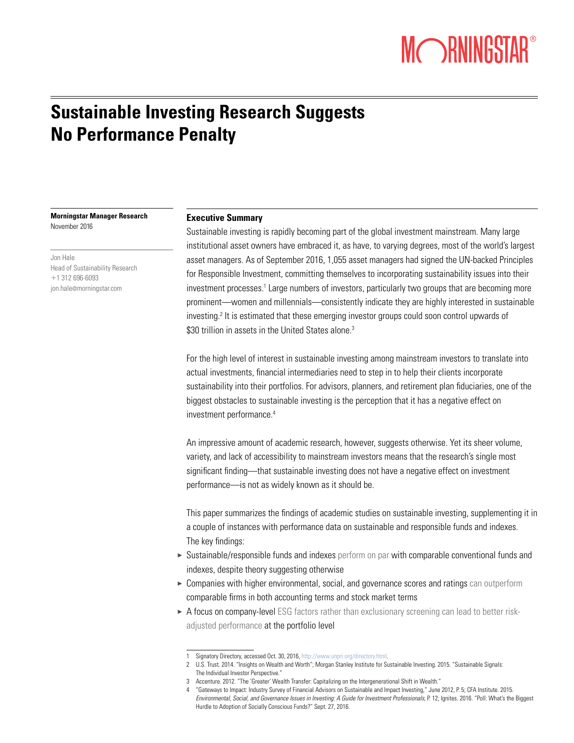# MORNINGSTAR®

### **Sustainable Investing Research Suggests No Performance Penalty**

**Morningstar Manager Research** November 2016

Jon Hale Head of Sustainability Research +1 312 696-6093 jon.hale@morningstar.com

#### **Executive Summary**

Sustainable investing is rapidly becoming part of the global investment mainstream. Many large institutional asset owners have embraced it, as have, to varying degrees, most of the world's largest asset managers. As of September 2016, 1,055 asset managers had signed the UN-backed Principles for Responsible Investment, committing themselves to incorporating sustainability issues into their investment processes.<sup>1</sup> Large numbers of investors, particularly two groups that are becoming more prominent—women and millennials—consistently indicate they are highly interested in sustainable investing.<sup>2</sup> It is estimated that these emerging investor groups could soon control upwards of \$30 trillion in assets in the United States alone.<sup>3</sup>

For the high level of interest in sustainable investing among mainstream investors to translate into actual investments, financial intermediaries need to step in to help their clients incorporate sustainability into their portfolios. For advisors, planners, and retirement plan fiduciaries, one of the biggest obstacles to sustainable investing is the perception that it has a negative effect on investment performance.4

An impressive amount of academic research, however, suggests otherwise. Yet its sheer volume, variety, and lack of accessibility to mainstream investors means that the research's single most significant finding—that sustainable investing does not have a negative effect on investment performance—is not as widely known as it should be.

This paper summarizes the findings of academic studies on sustainable investing, supplementing it in a couple of instances with performance data on sustainable and responsible funds and indexes. The key findings:

- 3 Sustainable/responsible funds and indexes perform on par with comparable conventional funds and indexes, despite theory suggesting otherwise
- ► Companies with higher environmental, social, and governance scores and ratings can outperform comparable firms in both accounting terms and stock market terms
- ► A focus on company-level ESG factors rather than exclusionary screening can lead to better riskadjusted performance at the portfolio level

<sup>1</sup> Signatory Directory, accessed Oct. 30, 2016, http://www.unpri.org/directory.html.

<sup>2</sup> U.S. Trust. 2014. "Insights on Wealth and Worth"; Morgan Stanley Institute for Sustainable Investing. 2015. "Sustainable Signals: The Individual Investor Perspective."

<sup>3</sup> Accenture. 2012. "The 'Greater' Wealth Transfer: Capitalizing on the Intergenerational Shift in Wealth."

<sup>4</sup> "Gateways to Impact: Industry Survey of Financial Advisors on Sustainable and Impact Investing," June 2012, P. 5; CFA Institute. 2015. *Environmental, Social, and Governance Issues in Investing: A Guide for Investment Professionals*, P. 12; Ignites. 2016. "Poll: What's the Biggest Hurdle to Adoption of Socially Conscious Funds?" Sept. 27, 2016.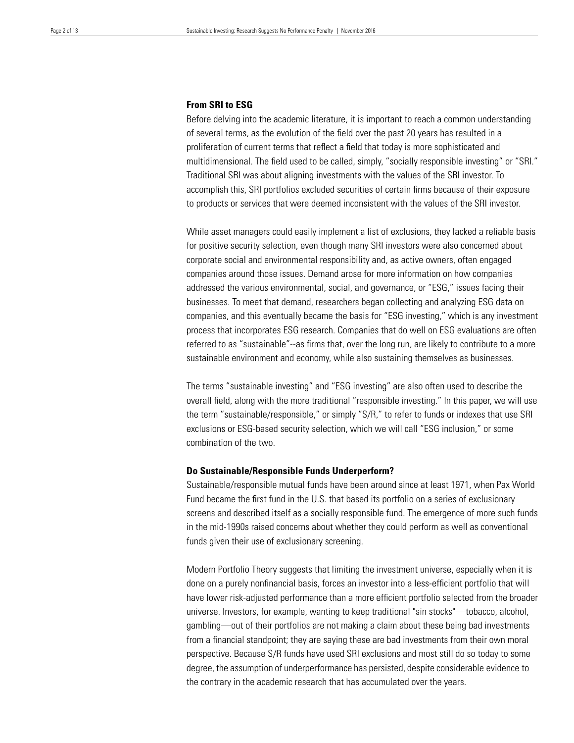#### **From SRI to ESG**

Before delving into the academic literature, it is important to reach a common understanding of several terms, as the evolution of the field over the past 20 years has resulted in a proliferation of current terms that reflect a field that today is more sophisticated and multidimensional. The field used to be called, simply, "socially responsible investing" or "SRI." Traditional SRI was about aligning investments with the values of the SRI investor. To accomplish this, SRI portfolios excluded securities of certain firms because of their exposure to products or services that were deemed inconsistent with the values of the SRI investor.

While asset managers could easily implement a list of exclusions, they lacked a reliable basis for positive security selection, even though many SRI investors were also concerned about corporate social and environmental responsibility and, as active owners, often engaged companies around those issues. Demand arose for more information on how companies addressed the various environmental, social, and governance, or "ESG," issues facing their businesses. To meet that demand, researchers began collecting and analyzing ESG data on companies, and this eventually became the basis for "ESG investing," which is any investment process that incorporates ESG research. Companies that do well on ESG evaluations are often referred to as "sustainable"--as firms that, over the long run, are likely to contribute to a more sustainable environment and economy, while also sustaining themselves as businesses.

The terms "sustainable investing" and "ESG investing" are also often used to describe the overall field, along with the more traditional "responsible investing." In this paper, we will use the term "sustainable/responsible," or simply "S/R," to refer to funds or indexes that use SRI exclusions or ESG-based security selection, which we will call "ESG inclusion," or some combination of the two.

#### **Do Sustainable/Responsible Funds Underperform?**

Sustainable/responsible mutual funds have been around since at least 1971, when Pax World Fund became the first fund in the U.S. that based its portfolio on a series of exclusionary screens and described itself as a socially responsible fund. The emergence of more such funds in the mid-1990s raised concerns about whether they could perform as well as conventional funds given their use of exclusionary screening.

Modern Portfolio Theory suggests that limiting the investment universe, especially when it is done on a purely nonfinancial basis, forces an investor into a less-efficient portfolio that will have lower risk-adjusted performance than a more efficient portfolio selected from the broader universe. Investors, for example, wanting to keep traditional "sin stocks"—tobacco, alcohol, gambling—out of their portfolios are not making a claim about these being bad investments from a financial standpoint; they are saying these are bad investments from their own moral perspective. Because S/R funds have used SRI exclusions and most still do so today to some degree, the assumption of underperformance has persisted, despite considerable evidence to the contrary in the academic research that has accumulated over the years.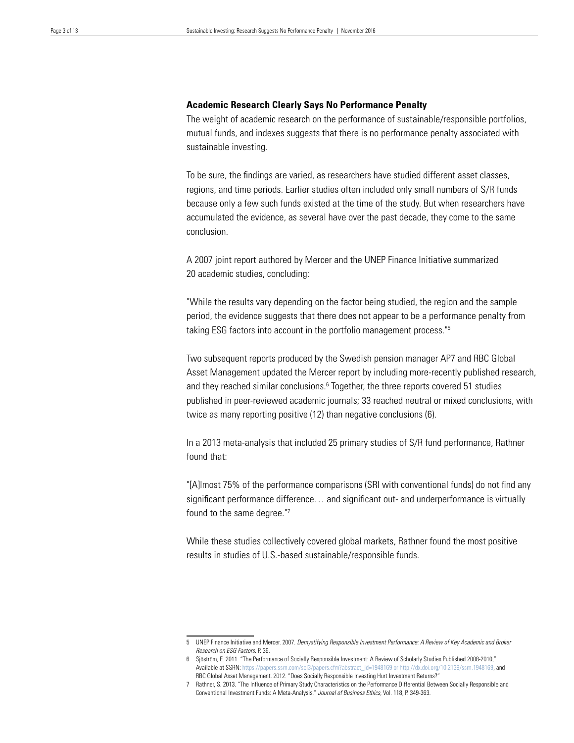#### **Academic Research Clearly Says No Performance Penalty**

The weight of academic research on the performance of sustainable/responsible portfolios, mutual funds, and indexes suggests that there is no performance penalty associated with sustainable investing.

To be sure, the findings are varied, as researchers have studied different asset classes, regions, and time periods. Earlier studies often included only small numbers of S/R funds because only a few such funds existed at the time of the study. But when researchers have accumulated the evidence, as several have over the past decade, they come to the same conclusion.

A 2007 joint report authored by Mercer and the UNEP Finance Initiative summarized 20 academic studies, concluding:

"While the results vary depending on the factor being studied, the region and the sample period, the evidence suggests that there does not appear to be a performance penalty from taking ESG factors into account in the portfolio management process."5

Two subsequent reports produced by the Swedish pension manager AP7 and RBC Global Asset Management updated the Mercer report by including more-recently published research, and they reached similar conclusions.<sup>6</sup> Together, the three reports covered 51 studies published in peer-reviewed academic journals; 33 reached neutral or mixed conclusions, with twice as many reporting positive (12) than negative conclusions (6).

In a 2013 meta-analysis that included 25 primary studies of S/R fund performance, Rathner found that:

"[A]lmost 75% of the performance comparisons (SRI with conventional funds) do not find any significant performance difference… and significant out- and underperformance is virtually found to the same degree."7

While these studies collectively covered global markets, Rathner found the most positive results in studies of U.S.-based sustainable/responsible funds.

<sup>5</sup> UNEP Finance Initiative and Mercer. 2007. *Demystifying Responsible Investment Performance: A Review of Key Academic and Broker Research on ESG Factors*. P. 36.

<sup>6</sup> Sjöström, E. 2011. "The Performance of Socially Responsible Investment: A Review of Scholarly Studies Published 2008-2010," Available at SSRN: https://papers.ssrn.com/sol3/papers.cfm?abstract\_id=1948169 or http://dx.doi.org/10.2139/ssrn.1948169, and RBC Global Asset Management. 2012. "Does Socially Responsible Investing Hurt Investment Returns?"

<sup>7</sup> Rathner, S. 2013. "The Influence of Primary Study Characteristics on the Performance Differential Between Socially Responsible and Conventional Investment Funds: A Meta-Analysis." *Journal of Business Ethics*, Vol. 118, P. 349-363.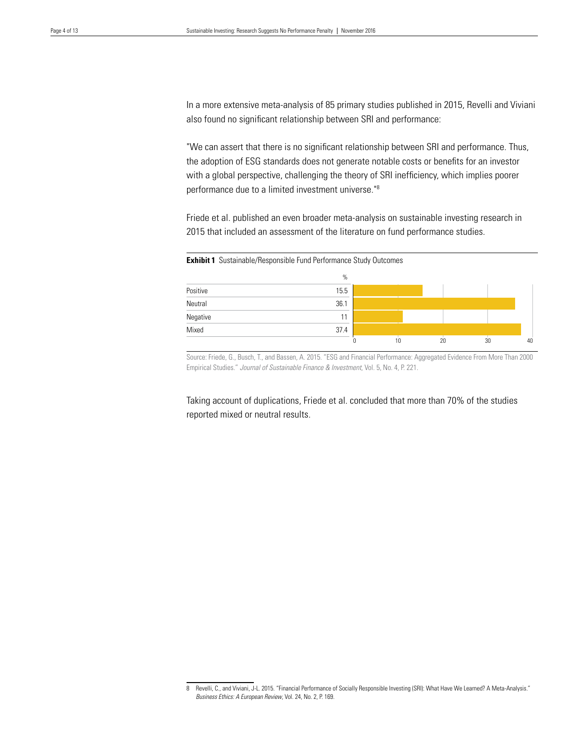**Exhibit 1** Sustainable/Responsible Fund Performance Study Outcomes

In a more extensive meta-analysis of 85 primary studies published in 2015, Revelli and Viviani also found no significant relationship between SRI and performance:

"We can assert that there is no significant relationship between SRI and performance. Thus, the adoption of ESG standards does not generate notable costs or benefits for an investor with a global perspective, challenging the theory of SRI inefficiency, which implies poorer performance due to a limited investment universe."8

Friede et al. published an even broader meta-analysis on sustainable investing research in 2015 that included an assessment of the literature on fund performance studies.



Source: Friede, G., Busch, T., and Bassen, A. 2015. "ESG and Financial Performance: Aggregated Evidence From More Than 2000 Empirical Studies." *Journal of Sustainable Finance & Investment*, Vol. 5, No. 4, P. 221.

Taking account of duplications, Friede et al. concluded that more than 70% of the studies reported mixed or neutral results.

<sup>8</sup> Revelli, C., and Viviani, J-L. 2015. "Financial Performance of Socially Responsible Investing (SRI): What Have We Learned? A Meta-Analysis." *Business Ethics: A European Review*, Vol. 24, No. 2, P. 169.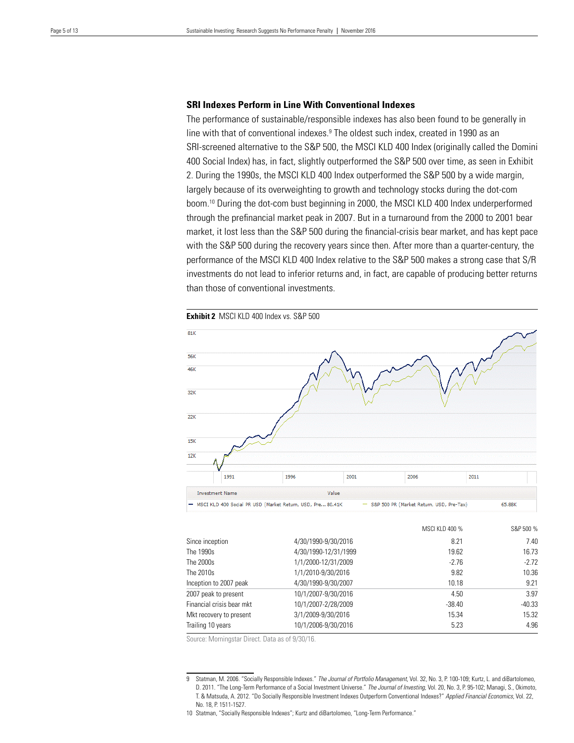#### **SRI Indexes Perform in Line With Conventional Indexes**

The performance of sustainable/responsible indexes has also been found to be generally in line with that of conventional indexes.<sup>9</sup> The oldest such index, created in 1990 as an SRI-screened alternative to the S&P 500, the MSCI KLD 400 Index (originally called the Domini 400 Social Index) has, in fact, slightly outperformed the S&P 500 over time, as seen in Exhibit 2. During the 1990s, the MSCI KLD 400 Index outperformed the S&P 500 by a wide margin, largely because of its overweighting to growth and technology stocks during the dot-com boom.10 During the dot-com bust beginning in 2000, the MSCI KLD 400 Index underperformed through the prefinancial market peak in 2007. But in a turnaround from the 2000 to 2001 bear market, it lost less than the S&P 500 during the financial-crisis bear market, and has kept pace with the S&P 500 during the recovery years since then. After more than a quarter-century, the performance of the MSCI KLD 400 Index relative to the S&P 500 makes a strong case that S/R investments do not lead to inferior returns and, in fact, are capable of producing better returns than those of conventional investments.

**Exhibit 2** MSCI KLD 400 Index vs. S&P 500  $81K$ **56K** 46k  $32K$  $22K$  $15K$  $12K$ 1991 1996 2001 2006 2011 **Investment Name** Value MSCI KLD 400 Social PR USD (Market Return, USD, Pre., 80.41K S&P 500 PR (Market Return, USD, Pre-Tax) 65.88K

|                           |                      | MSCI KLD 400 % | S&P 500 % |  |
|---------------------------|----------------------|----------------|-----------|--|
| Since inception           | 4/30/1990-9/30/2016  | 8.21           | 7.40      |  |
| The 1990s                 | 4/30/1990-12/31/1999 | 19.62          | 16.73     |  |
| The 2000s                 | 1/1/2000-12/31/2009  | $-2.76$        | $-2.72$   |  |
| The 2010s                 | 1/1/2010-9/30/2016   | 9.82           | 10.36     |  |
| Inception to 2007 peak    | 4/30/1990-9/30/2007  | 10.18          | 9.21      |  |
| 2007 peak to present      | 10/1/2007-9/30/2016  | 4.50           | 3.97      |  |
| Financial crisis bear mkt | 10/1/2007-2/28/2009  | $-38.40$       | $-40.33$  |  |
| Mkt recovery to present   | 3/1/2009-9/30/2016   | 15.34          | 15.32     |  |
| Trailing 10 years         | 10/1/2006-9/30/2016  | 5.23           | 4.96      |  |

Source: Morningstar Direct. Data as of 9/30/16.

<sup>9</sup> Statman, M. 2006. "Socially Responsible Indexes." *The Journal of Portfolio Management*, Vol. 32, No. 3, P. 100-109; Kurtz, L. and diBartolomeo, D. 2011. "The Long-Term Performance of a Social Investment Universe." *The Journal of Investing*, Vol. 20, No. 3, P. 95-102; Managi, S., Okimoto, T. & Matsuda, A. 2012. "Do Socially Responsible Investment Indexes Outperform Conventional Indexes?" *Applied Financial Economics*, Vol. 22, No. 18, P. 1511-1527.

<sup>10</sup> Statman, "Socially Responsible Indexes"; Kurtz and diBartolomeo, "Long-Term Performance."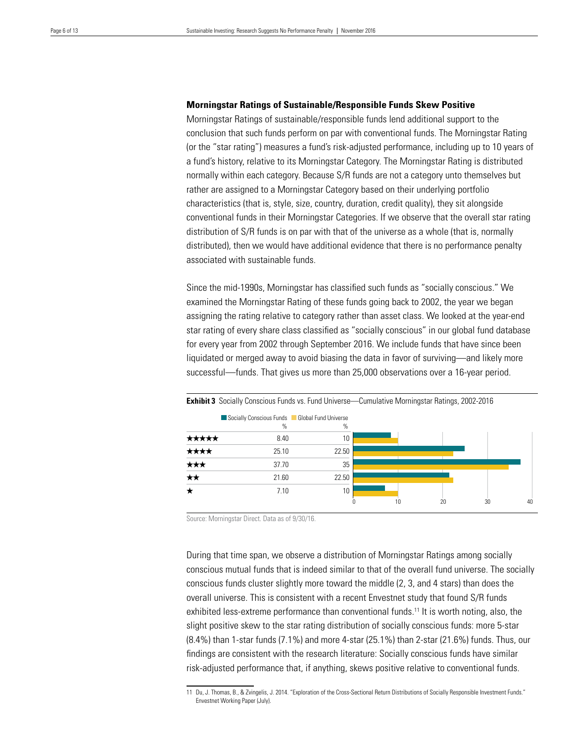#### **Morningstar Ratings of Sustainable/Responsible Funds Skew Positive**

Morningstar Ratings of sustainable/responsible funds lend additional support to the conclusion that such funds perform on par with conventional funds. The Morningstar Rating (or the "star rating") measures a fund's risk-adjusted performance, including up to 10 years of a fund's history, relative to its Morningstar Category. The Morningstar Rating is distributed normally within each category. Because S/R funds are not a category unto themselves but rather are assigned to a Morningstar Category based on their underlying portfolio characteristics (that is, style, size, country, duration, credit quality), they sit alongside conventional funds in their Morningstar Categories. If we observe that the overall star rating distribution of S/R funds is on par with that of the universe as a whole (that is, normally distributed), then we would have additional evidence that there is no performance penalty associated with sustainable funds.

Since the mid-1990s, Morningstar has classified such funds as "socially conscious." We examined the Morningstar Rating of these funds going back to 2002, the year we began assigning the rating relative to category rather than asset class. We looked at the year-end star rating of every share class classified as "socially conscious" in our global fund database for every year from 2002 through September 2016. We include funds that have since been liquidated or merged away to avoid biasing the data in favor of surviving—and likely more successful—funds. That gives us more than 25,000 observations over a 16-year period.



**Exhibit 3** Socially Conscious Funds vs. Fund Universe—Cumulative Morningstar Ratings, 2002-2016

Source: Morningstar Direct. Data as of 9/30/16.

During that time span, we observe a distribution of Morningstar Ratings among socially conscious mutual funds that is indeed similar to that of the overall fund universe. The socially conscious funds cluster slightly more toward the middle (2, 3, and 4 stars) than does the overall universe. This is consistent with a recent Envestnet study that found S/R funds exhibited less-extreme performance than conventional funds.11 It is worth noting, also, the slight positive skew to the star rating distribution of socially conscious funds: more 5-star (8.4%) than 1-star funds (7.1%) and more 4-star (25.1%) than 2-star (21.6%) funds. Thus, our findings are consistent with the research literature: Socially conscious funds have similar risk-adjusted performance that, if anything, skews positive relative to conventional funds.

<sup>11</sup> Du, J. Thomas, B., & Zvingelis, J. 2014. "Exploration of the Cross-Sectional Return Distributions of Socially Responsible Investment Funds." Envestnet Working Paper (July).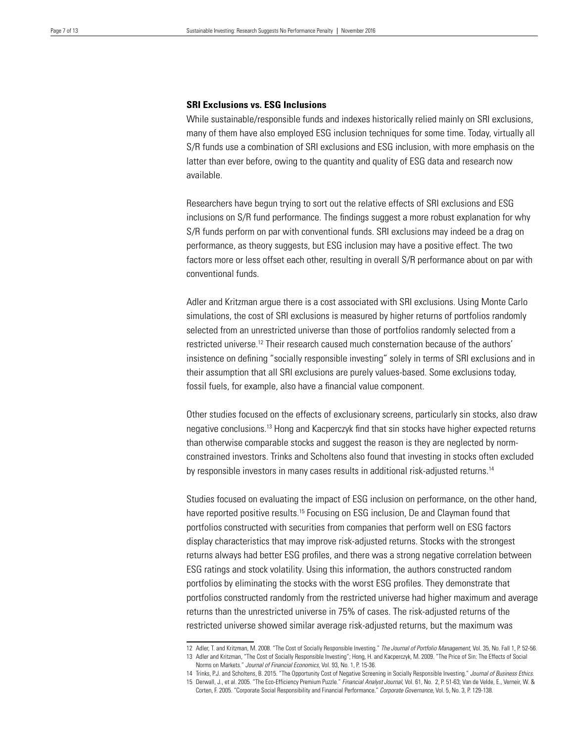#### **SRI Exclusions vs. ESG Inclusions**

While sustainable/responsible funds and indexes historically relied mainly on SRI exclusions, many of them have also employed ESG inclusion techniques for some time. Today, virtually all S/R funds use a combination of SRI exclusions and ESG inclusion, with more emphasis on the latter than ever before, owing to the quantity and quality of ESG data and research now available.

Researchers have begun trying to sort out the relative effects of SRI exclusions and ESG inclusions on S/R fund performance. The findings suggest a more robust explanation for why S/R funds perform on par with conventional funds. SRI exclusions may indeed be a drag on performance, as theory suggests, but ESG inclusion may have a positive effect. The two factors more or less offset each other, resulting in overall S/R performance about on par with conventional funds.

Adler and Kritzman argue there is a cost associated with SRI exclusions. Using Monte Carlo simulations, the cost of SRI exclusions is measured by higher returns of portfolios randomly selected from an unrestricted universe than those of portfolios randomly selected from a restricted universe.12 Their research caused much consternation because of the authors' insistence on defining "socially responsible investing" solely in terms of SRI exclusions and in their assumption that all SRI exclusions are purely values-based. Some exclusions today, fossil fuels, for example, also have a financial value component.

Other studies focused on the effects of exclusionary screens, particularly sin stocks, also draw negative conclusions.13 Hong and Kacperczyk find that sin stocks have higher expected returns than otherwise comparable stocks and suggest the reason is they are neglected by normconstrained investors. Trinks and Scholtens also found that investing in stocks often excluded by responsible investors in many cases results in additional risk-adjusted returns.14

Studies focused on evaluating the impact of ESG inclusion on performance, on the other hand, have reported positive results.<sup>15</sup> Focusing on ESG inclusion, De and Clayman found that portfolios constructed with securities from companies that perform well on ESG factors display characteristics that may improve risk-adjusted returns. Stocks with the strongest returns always had better ESG profiles, and there was a strong negative correlation between ESG ratings and stock volatility. Using this information, the authors constructed random portfolios by eliminating the stocks with the worst ESG profiles. They demonstrate that portfolios constructed randomly from the restricted universe had higher maximum and average returns than the unrestricted universe in 75% of cases. The risk-adjusted returns of the restricted universe showed similar average risk-adjusted returns, but the maximum was

<sup>12</sup> Adler, T. and Kritzman, M. 2008. "The Cost of Socially Responsible Investing." *The Journal of Portfolio Management*, Vol. 35, No. Fall 1, P. 52-56.

<sup>13</sup> Adler and Kritzman, "The Cost of Socially Responsible Investing"; Hong, H. and Kacperczyk, M. 2009. "The Price of Sin: The Effects of Social Norms on Markets." *Journal of Financial Economics*, Vol. 93, No. 1, P. 15-36.

<sup>14</sup> Trinks, P.J. and Scholtens, B. 2015. "The Opportunity Cost of Negative Screening in Socially Responsible Investing." *Journal of Business Ethics*. 15 Derwall, J., et al. 2005. "The Eco-Efficiency Premium Puzzle." *Financial Analyst Journal*, Vol. 61, No. 2, P. 51-63; Van de Velde, E., Verneir, W. &

Corten, F. 2005. "Corporate Social Responsibility and Financial Performance." *Corporate Governance*, Vol. 5, No. 3, P. 129-138.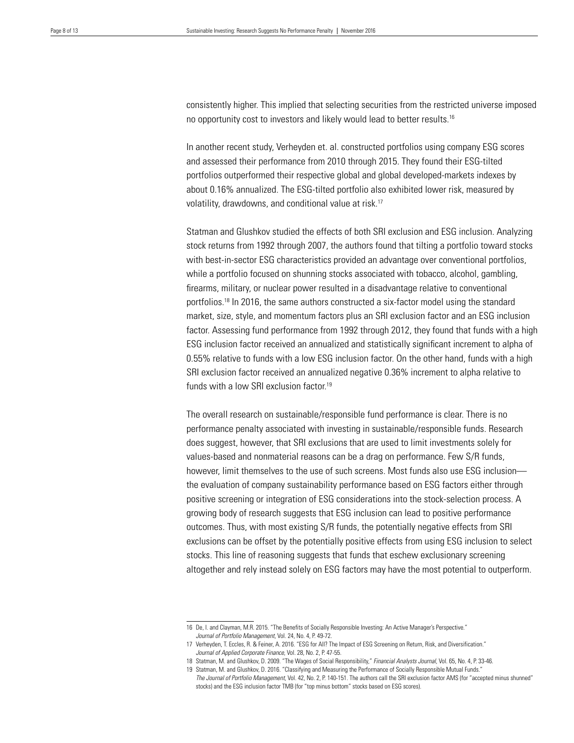consistently higher. This implied that selecting securities from the restricted universe imposed no opportunity cost to investors and likely would lead to better results.16

In another recent study, Verheyden et. al. constructed portfolios using company ESG scores and assessed their performance from 2010 through 2015. They found their ESG-tilted portfolios outperformed their respective global and global developed-markets indexes by about 0.16% annualized. The ESG-tilted portfolio also exhibited lower risk, measured by volatility, drawdowns, and conditional value at risk.17

Statman and Glushkov studied the effects of both SRI exclusion and ESG inclusion. Analyzing stock returns from 1992 through 2007, the authors found that tilting a portfolio toward stocks with best-in-sector ESG characteristics provided an advantage over conventional portfolios, while a portfolio focused on shunning stocks associated with tobacco, alcohol, gambling, firearms, military, or nuclear power resulted in a disadvantage relative to conventional portfolios.18 In 2016, the same authors constructed a six-factor model using the standard market, size, style, and momentum factors plus an SRI exclusion factor and an ESG inclusion factor. Assessing fund performance from 1992 through 2012, they found that funds with a high ESG inclusion factor received an annualized and statistically significant increment to alpha of 0.55% relative to funds with a low ESG inclusion factor. On the other hand, funds with a high SRI exclusion factor received an annualized negative 0.36% increment to alpha relative to funds with a low SRI exclusion factor.<sup>19</sup>

The overall research on sustainable/responsible fund performance is clear. There is no performance penalty associated with investing in sustainable/responsible funds. Research does suggest, however, that SRI exclusions that are used to limit investments solely for values-based and nonmaterial reasons can be a drag on performance. Few S/R funds, however, limit themselves to the use of such screens. Most funds also use ESG inclusion the evaluation of company sustainability performance based on ESG factors either through positive screening or integration of ESG considerations into the stock-selection process. A growing body of research suggests that ESG inclusion can lead to positive performance outcomes. Thus, with most existing S/R funds, the potentially negative effects from SRI exclusions can be offset by the potentially positive effects from using ESG inclusion to select stocks. This line of reasoning suggests that funds that eschew exclusionary screening altogether and rely instead solely on ESG factors may have the most potential to outperform.

<sup>16</sup> De, I. and Clayman, M.R. 2015. "The Benefits of Socially Responsible Investing: An Active Manager's Perspective." *Journal of Portfolio Management*, Vol. 24, No. 4, P. 49-72.

<sup>17</sup> Verheyden, T. Eccles, R. & Feiner, A. 2016. "ESG for All? The Impact of ESG Screening on Return, Risk, and Diversification." *Journal of Applied Corporate Finance*, Vol. 28, No. 2, P. 47-55.

<sup>18</sup> Statman, M. and Glushkov, D. 2009. "The Wages of Social Responsibility," *Financial Analysts Journal*, Vol. 65, No. 4, P. 33-46.

<sup>19</sup> Statman, M. and Glushkov, D. 2016. "Classifying and Measuring the Performance of Socially Responsible Mutual Funds." *The Journal of Portfolio Management*, Vol. 42, No. 2, P. 140-151. The authors call the SRI exclusion factor AMS (for "accepted minus shunned" stocks) and the ESG inclusion factor TMB (for "top minus bottom" stocks based on ESG scores).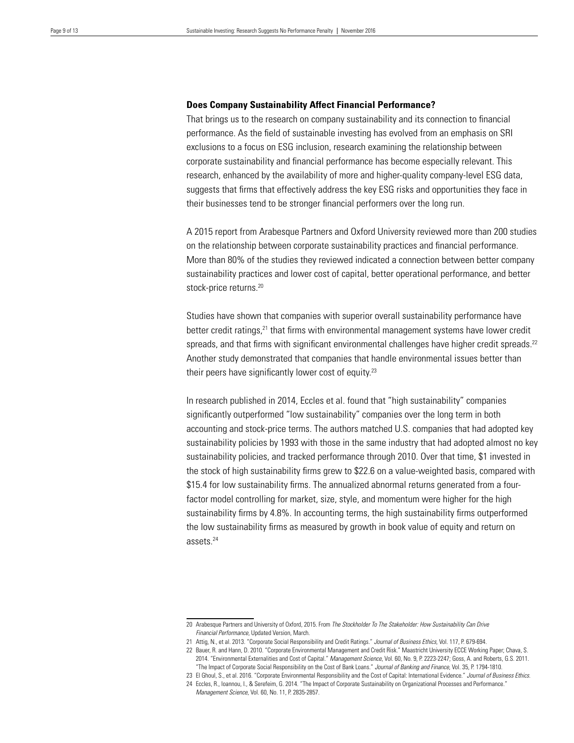#### **Does Company Sustainability Affect Financial Performance?**

That brings us to the research on company sustainability and its connection to financial performance. As the field of sustainable investing has evolved from an emphasis on SRI exclusions to a focus on ESG inclusion, research examining the relationship between corporate sustainability and financial performance has become especially relevant. This research, enhanced by the availability of more and higher-quality company-level ESG data, suggests that firms that effectively address the key ESG risks and opportunities they face in their businesses tend to be stronger financial performers over the long run.

A 2015 report from Arabesque Partners and Oxford University reviewed more than 200 studies on the relationship between corporate sustainability practices and financial performance. More than 80% of the studies they reviewed indicated a connection between better company sustainability practices and lower cost of capital, better operational performance, and better stock-price returns.<sup>20</sup>

Studies have shown that companies with superior overall sustainability performance have better credit ratings,<sup>21</sup> that firms with environmental management systems have lower credit spreads, and that firms with significant environmental challenges have higher credit spreads.<sup>22</sup> Another study demonstrated that companies that handle environmental issues better than their peers have significantly lower cost of equity.23

In research published in 2014, Eccles et al. found that "high sustainability" companies significantly outperformed "low sustainability" companies over the long term in both accounting and stock-price terms. The authors matched U.S. companies that had adopted key sustainability policies by 1993 with those in the same industry that had adopted almost no key sustainability policies, and tracked performance through 2010. Over that time, \$1 invested in the stock of high sustainability firms grew to \$22.6 on a value-weighted basis, compared with \$15.4 for low sustainability firms. The annualized abnormal returns generated from a fourfactor model controlling for market, size, style, and momentum were higher for the high sustainability firms by 4.8%. In accounting terms, the high sustainability firms outperformed the low sustainability firms as measured by growth in book value of equity and return on assets.24

<sup>20</sup> Arabesque Partners and University of Oxford, 2015. From *The Stockholder To The Stakeholder: How Sustainability Can Drive Financial Performance*, Updated Version, March.

<sup>21</sup> Attig, N., et al. 2013. "Corporate Social Responsibility and Credit Ratings." *Journal of Business Ethics*, Vol. 117, P. 679-694.

<sup>22</sup> Bauer, R. and Hann, D. 2010. "Corporate Environmental Management and Credit Risk." Maastricht University ECCE Working Paper; Chava, S. 2014. "Environmental Externalities and Cost of Capital." *Management Science*, Vol. 60, No. 9, P. 2223-2247; Goss, A. and Roberts, G.S. 2011. "The Impact of Corporate Social Responsibility on the Cost of Bank Loans." *Journal of Banking and Finance*, Vol. 35, P. 1794-1810.

<sup>23</sup> El Ghoul, S., et al. 2016. "Corporate Environmental Responsibility and the Cost of Capital: International Evidence." *Journal of Business Ethics*.

<sup>24</sup> Eccles, R., Ioannou, I., & Serefeim, G. 2014. "The Impact of Corporate Sustainability on Organizational Processes and Performance." *Management Science*, Vol. 60, No. 11, P. 2835-2857.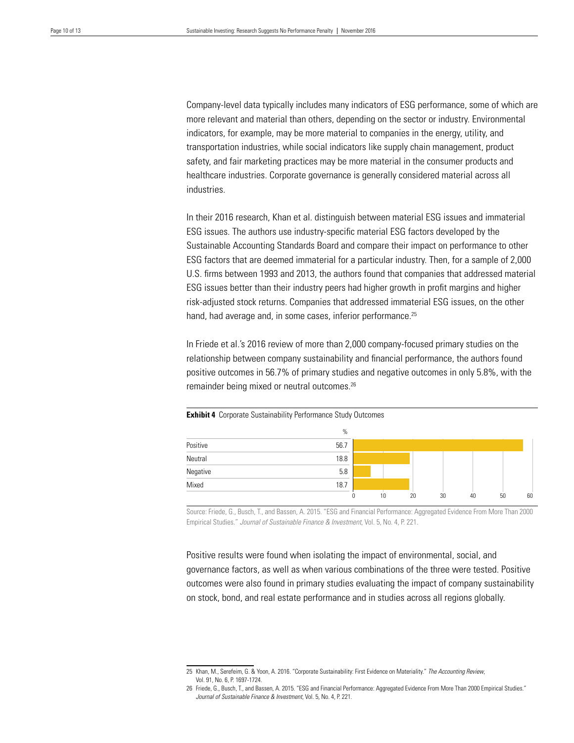Company-level data typically includes many indicators of ESG performance, some of which are more relevant and material than others, depending on the sector or industry. Environmental indicators, for example, may be more material to companies in the energy, utility, and transportation industries, while social indicators like supply chain management, product safety, and fair marketing practices may be more material in the consumer products and healthcare industries. Corporate governance is generally considered material across all industries.

In their 2016 research, Khan et al. distinguish between material ESG issues and immaterial ESG issues. The authors use industry-specific material ESG factors developed by the Sustainable Accounting Standards Board and compare their impact on performance to other ESG factors that are deemed immaterial for a particular industry. Then, for a sample of 2,000 U.S. firms between 1993 and 2013, the authors found that companies that addressed material ESG issues better than their industry peers had higher growth in profit margins and higher risk-adjusted stock returns. Companies that addressed immaterial ESG issues, on the other hand, had average and, in some cases, inferior performance.<sup>25</sup>

In Friede et al.'s 2016 review of more than 2,000 company-focused primary studies on the relationship between company sustainability and financial performance, the authors found positive outcomes in 56.7% of primary studies and negative outcomes in only 5.8%, with the remainder being mixed or neutral outcomes.26

|                              | $\%$ |    |    |    |    |    |    |
|------------------------------|------|----|----|----|----|----|----|
| Positive                     | 56.7 |    |    |    |    |    |    |
| <b>STATISTICS</b><br>Neutral | 18.8 |    |    |    |    |    |    |
| Negative<br>Mixed            | 5.8  |    |    |    |    |    |    |
|                              | 18.7 |    |    |    |    |    |    |
|                              |      | 10 | 20 | 30 | 40 | 50 | 60 |

**Exhibit 4** Corporate Sustainability Performance Study Outcomes

Source: Friede, G., Busch, T., and Bassen, A. 2015. "ESG and Financial Performance: Aggregated Evidence From More Than 2000 Empirical Studies." *Journal of Sustainable Finance & Investment*, Vol. 5, No. 4, P. 221.

Positive results were found when isolating the impact of environmental, social, and governance factors, as well as when various combinations of the three were tested. Positive outcomes were also found in primary studies evaluating the impact of company sustainability on stock, bond, and real estate performance and in studies across all regions globally.

<sup>25</sup> Khan, M., Serefeim, G. & Yoon, A. 2016. "Corporate Sustainability: First Evidence on Materiality." *The Accounting Review*, Vol. 91, No. 6, P. 1697-1724.

<sup>26</sup> Friede, G., Busch, T., and Bassen, A. 2015. "ESG and Financial Performance: Aggregated Evidence From More Than 2000 Empirical Studies." *Journal of Sustainable Finance & Investment*, Vol. 5, No. 4, P. 221.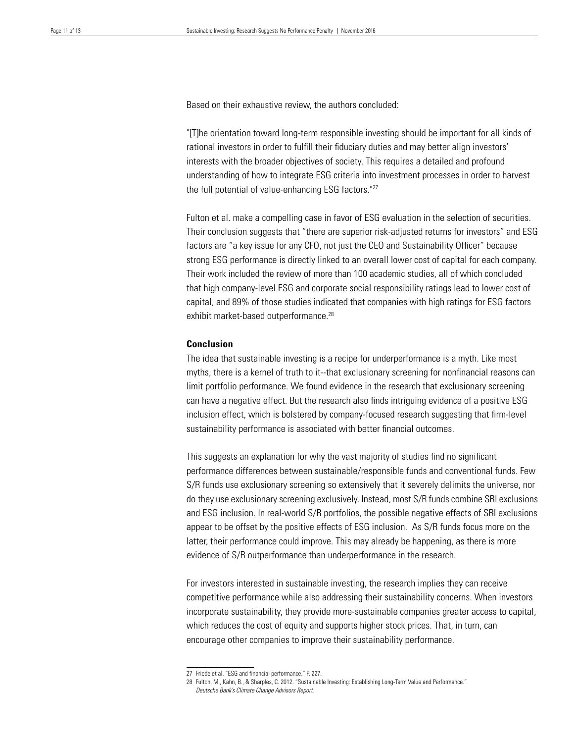Based on their exhaustive review, the authors concluded:

"[T]he orientation toward long-term responsible investing should be important for all kinds of rational investors in order to fulfill their fiduciary duties and may better align investors' interests with the broader objectives of society. This requires a detailed and profound understanding of how to integrate ESG criteria into investment processes in order to harvest the full potential of value-enhancing ESG factors."27

Fulton et al. make a compelling case in favor of ESG evaluation in the selection of securities. Their conclusion suggests that "there are superior risk-adjusted returns for investors" and ESG factors are "a key issue for any CFO, not just the CEO and Sustainability Officer" because strong ESG performance is directly linked to an overall lower cost of capital for each company. Their work included the review of more than 100 academic studies, all of which concluded that high company-level ESG and corporate social responsibility ratings lead to lower cost of capital, and 89% of those studies indicated that companies with high ratings for ESG factors exhibit market-based outperformance.<sup>28</sup>

#### **Conclusion**

The idea that sustainable investing is a recipe for underperformance is a myth. Like most myths, there is a kernel of truth to it--that exclusionary screening for nonfinancial reasons can limit portfolio performance. We found evidence in the research that exclusionary screening can have a negative effect. But the research also finds intriguing evidence of a positive ESG inclusion effect, which is bolstered by company-focused research suggesting that firm-level sustainability performance is associated with better financial outcomes.

This suggests an explanation for why the vast majority of studies find no significant performance differences between sustainable/responsible funds and conventional funds. Few S/R funds use exclusionary screening so extensively that it severely delimits the universe, nor do they use exclusionary screening exclusively. Instead, most S/R funds combine SRI exclusions and ESG inclusion. In real-world S/R portfolios, the possible negative effects of SRI exclusions appear to be offset by the positive effects of ESG inclusion. As S/R funds focus more on the latter, their performance could improve. This may already be happening, as there is more evidence of S/R outperformance than underperformance in the research.

For investors interested in sustainable investing, the research implies they can receive competitive performance while also addressing their sustainability concerns. When investors incorporate sustainability, they provide more-sustainable companies greater access to capital, which reduces the cost of equity and supports higher stock prices. That, in turn, can encourage other companies to improve their sustainability performance.

<sup>27</sup> Friede et al. "ESG and financial performance." P. 227.

<sup>28</sup> Fulton, M., Kahn, B., & Sharples, C. 2012. "Sustainable Investing: Establishing Long-Term Value and Performance." *Deutsche Bank's Climate Change Advisors Report*.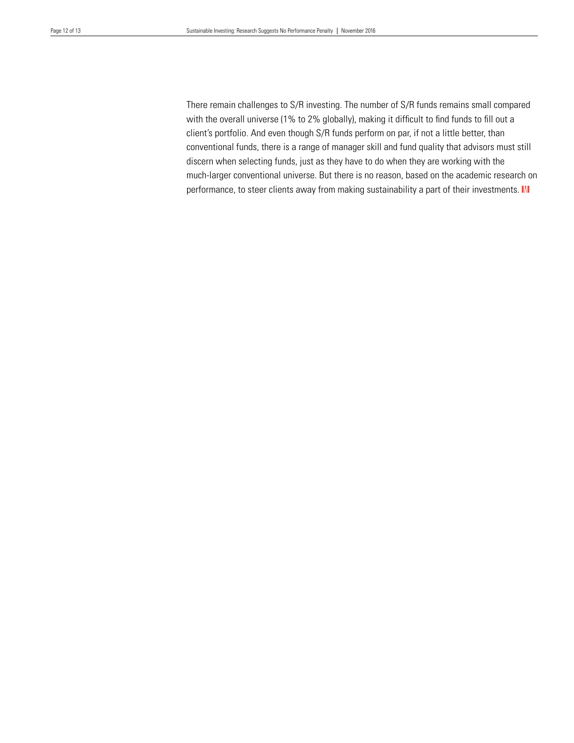There remain challenges to S/R investing. The number of S/R funds remains small compared with the overall universe (1% to 2% globally), making it difficult to find funds to fill out a client's portfolio. And even though S/R funds perform on par, if not a little better, than conventional funds, there is a range of manager skill and fund quality that advisors must still discern when selecting funds, just as they have to do when they are working with the much-larger conventional universe. But there is no reason, based on the academic research on performance, to steer clients away from making sustainability a part of their investments. III